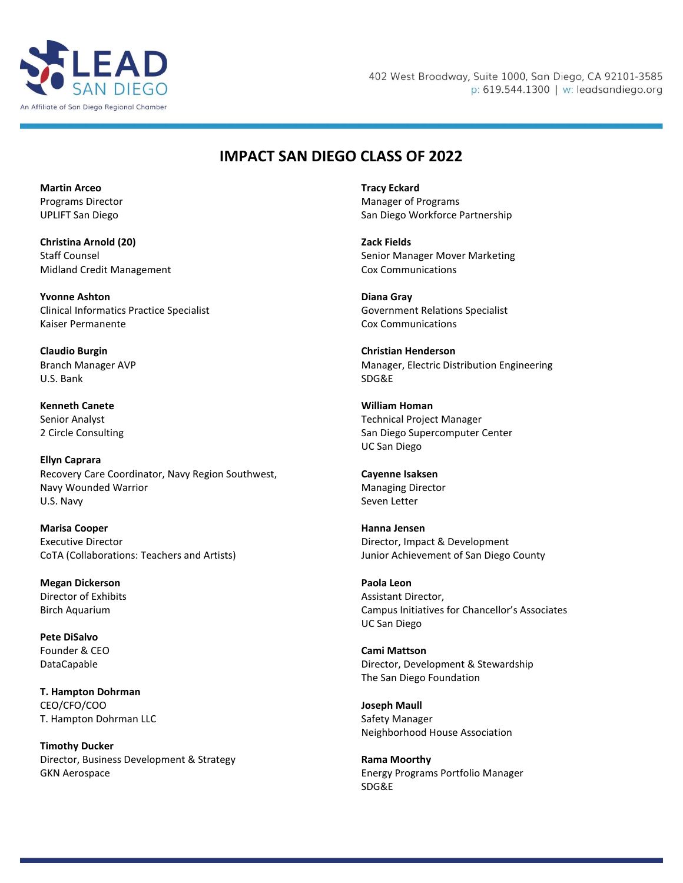

402 West Broadway, Suite 1000, San Diego, CA 92101-3585 p: 619.544.1300 | w: leadsandiego.org

## **IMPACT SAN DIEGO CLASS OF 2022**

**Martin Arceo** Programs Director UPLIFT San Diego

**Christina Arnold (20)** Staff Counsel Midland Credit Management

**Yvonne Ashton** Clinical Informatics Practice Specialist Kaiser Permanente

**Claudio Burgin** Branch Manager AVP U.S. Bank

**Kenneth Canete** Senior Analyst 2 Circle Consulting

**Ellyn Caprara** Recovery Care Coordinator, Navy Region Southwest, Navy Wounded Warrior U.S. Navy

**Marisa Cooper** Executive Director CoTA (Collaborations: Teachers and Artists)

**Megan Dickerson** Director of Exhibits Birch Aquarium

**Pete DiSalvo** Founder & CEO DataCapable

**T. Hampton Dohrman** CEO/CFO/COO T. Hampton Dohrman LLC

**Timothy Ducker** Director, Business Development & Strategy GKN Aerospace

**Tracy Eckard** Manager of Programs San Diego Workforce Partnership

**Zack Fields** Senior Manager Mover Marketing Cox Communications

**Diana Gray** Government Relations Specialist Cox Communications

**Christian Henderson** Manager, Electric Distribution Engineering SDG&E

**William Homan** Technical Project Manager San Diego Supercomputer Center UC San Diego

**Cayenne Isaksen** Managing Director Seven Letter

**Hanna Jensen** Director, Impact & Development Junior Achievement of San Diego County

**Paola Leon** Assistant Director, Campus Initiatives for Chancellor's Associates UC San Diego

**Cami Mattson** Director, Development & Stewardship The San Diego Foundation

**Joseph Maull** Safety Manager Neighborhood House Association

**Rama Moorthy** Energy Programs Portfolio Manager SDG&E